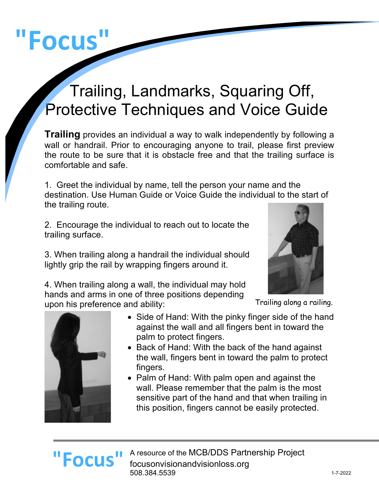# **"Focus"**

## Trailing, Landmarks, Squaring Off, Protective Techniques and Voice Guide

**Trailing** provides an individual a way to walk independently by following a wall or handrail. Prior to encouraging anyone to trail, please first preview the route to be sure that it is obstacle free and that the trailing surface is comfortable and safe.

1. Greet the individual by name, tell the person your name and the destination. Use Human Guide or Voice Guide the individual to the start of the trailing route.

2. Encourage the individual to reach out to locate the trailing surface.

3. When trailing along a handrail the individual should lightly grip the rail by wrapping fingers around it.

4. When trailing along a wall, the individual may hold hands and arms in one of three positions depending upon his preference and ability:



Trailing along a railing.



- Side of Hand: With the pinky finger side of the hand against the wall and all fingers bent in toward the palm to protect fingers.
- Back of Hand: With the back of the hand against the wall, fingers bent in toward the palm to protect fingers.
- Palm of Hand: With palm open and against the wall. Please remember that the palm is the most sensitive part of the hand and that when trailing in this position, fingers cannot be easily protected.

#### A resource of the MCB/DDS Partnership Project focusonvisionandvisionloss.org 508.384.5539 **"Focus"**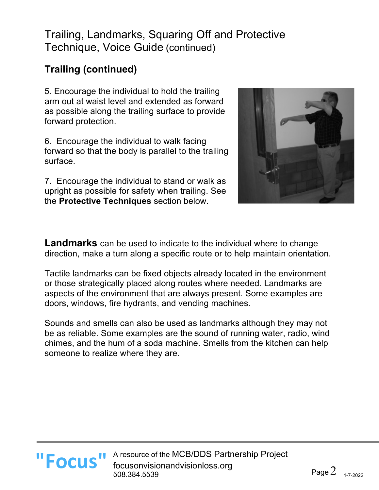#### **Trailing (continued)**

5. Encourage the individual to hold the trailing arm out at waist level and extended as forward as possible along the trailing surface to provide forward protection.

6. Encourage the individual to walk facing forward so that the body is parallel to the trailing surface.

7. Encourage the individual to stand or walk as upright as possible for safety when trailing. See the **Protective Techniques** section below.



**Landmarks** can be used to indicate to the individual where to change direction, make a turn along a specific route or to help maintain orientation.

Tactile landmarks can be fixed objects already located in the environment or those strategically placed along routes where needed. Landmarks are aspects of the environment that are always present. Some examples are doors, windows, fire hydrants, and vending machines.

Sounds and smells can also be used as landmarks although they may not be as reliable. Some examples are the sound of running water, radio, wind chimes, and the hum of a soda machine. Smells from the kitchen can help someone to realize where they are.

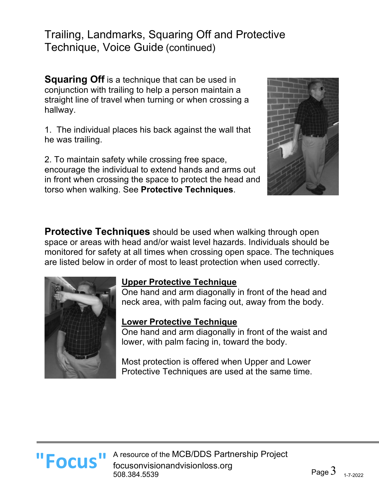**Squaring Off** is a technique that can be used in conjunction with trailing to help a person maintain a straight line of travel when turning or when crossing a hallway.

1. The individual places his back against the wall that he was trailing.

2. To maintain safety while crossing free space, encourage the individual to extend hands and arms out in front when crossing the space to protect the head and torso when walking. See **Protective Techniques**.



**Protective Techniques** should be used when walking through open space or areas with head and/or waist level hazards. Individuals should be monitored for safety at all times when crossing open space. The techniques are listed below in order of most to least protection when used correctly.



#### **Upper Protective Technique**

One hand and arm diagonally in front of the head and neck area, with palm facing out, away from the body.

#### **Lower Protective Technique**

One hand and arm diagonally in front of the waist and lower, with palm facing in, toward the body.

Most protection is offered when Upper and Lower Protective Techniques are used at the same time.

A resource of the MCB/DDS Partnership Project **"Focus "** A resource of the MCB/DDS Partn focusonvisionandvisionloss.org 508.384.5539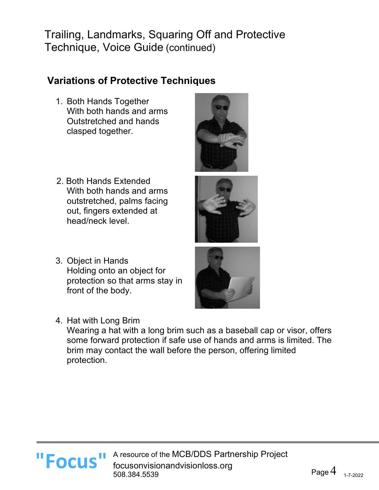#### **Variations of Protective Techniques**

- 1. Both Hands Together With both hands and arms Outstretched and hands clasped together.
- 
- 2. Both Hands Extended With both hands and arms outstretched, palms facing out, fingers extended at head/neck level.
- 3. Object in Hands Holding onto an object for protection so that arms stay in front of the body.
- 4. Hat with Long Brim



Wearing a hat with a long brim such as a baseball cap or visor, offers some forward protection if safe use of hands and arms is limited. The brim may contact the wall before the person, offering limited protection.

A resource of the MCB/DDS Partnership Project **"Focus "** A resource of the MCB/DDS Partn focusonvisionandvisionloss.org 508.384.5539